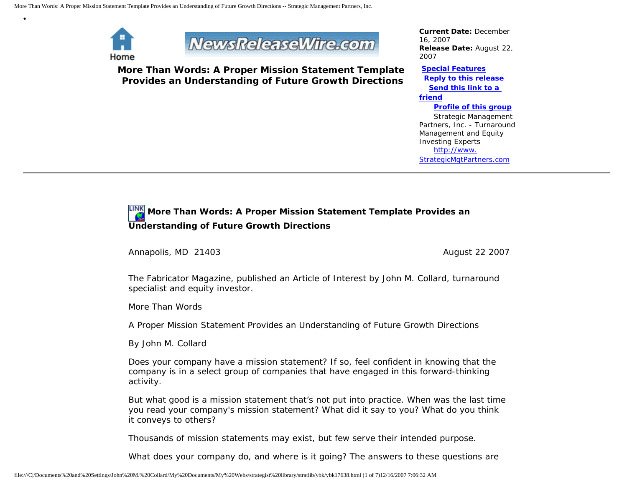

•



**More Than Words: A Proper Mission Statement Template Provides an Understanding of Future Growth Directions**

*Current Date:* December 16, 2007 *Release Date:* August 22, 2007

**[Special Features](javascript:openlittleme() [Reply to this release](file:///C|/Documents%20and%20Settings/John%20M.%20Collard/My%20Documents/My%20Webs/strategist%20library/stratlib/ybk/default.cfm?Action=ReplyRelease&Id=17638) [Send this link to a](file:///C|/Documents%20and%20Settings/John%20M.%20Collard/My%20Documents/My%20Webs/strategist%20library/stratlib/ybk/default.cfm?Action=SendLink&SendId=17638)  [friend](file:///C|/Documents%20and%20Settings/John%20M.%20Collard/My%20Documents/My%20Webs/strategist%20library/stratlib/ybk/default.cfm?Action=SendLink&SendId=17638) [Profile of this group](file:///C|/Documents%20and%20Settings/John%20M.%20Collard/My%20Documents/My%20Webs/strategist%20library/stratlib/ybk/default.cfm?Action=Profile&ProfileId=623)** Strategic Management Partners, Inc. - Turnaround Management and Equity

 [http://www.](http://www.strategicmgtpartners.com/) [StrategicMgtPartners.com](http://www.strategicmgtpartners.com/)

Investing Experts

## **More Than Words: A Proper Mission Statement Template Provides an Understanding of Future Growth Directions**

Annapolis, MD 21403 **August 22** 2007

The Fabricator Magazine, published an Article of Interest by John M. Collard, turnaround specialist and equity investor.

More Than Words

A Proper Mission Statement Provides an Understanding of Future Growth Directions

By John M. Collard

Does your company have a mission statement? If so, feel confident in knowing that the company is in a select group of companies that have engaged in this forward-thinking activity.

But what good is a mission statement that's not put into practice. When was the last time you read your company's mission statement? What did it say to you? What do you think it conveys to others?

Thousands of mission statements may exist, but few serve their intended purpose.

What does your company do, and where is it going? The answers to these questions are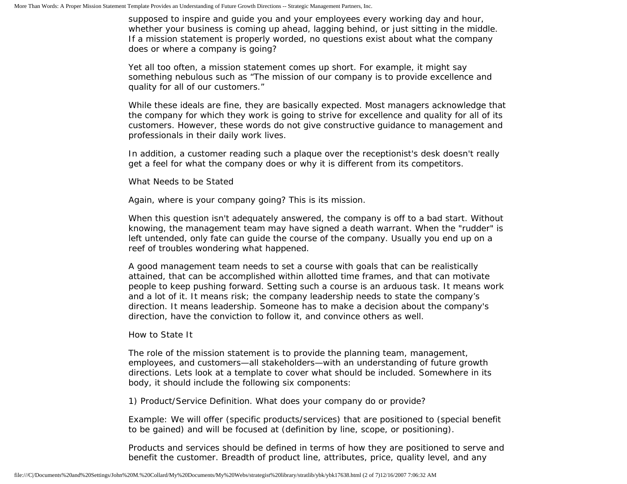supposed to inspire and guide you and your employees every working day and hour, whether your business is coming up ahead, lagging behind, or just sitting in the middle. If a mission statement is properly worded, no questions exist about what the company does or where a company is going?

Yet all too often, a mission statement comes up short. For example, it might say something nebulous such as "The mission of our company is to provide excellence and quality for all of our customers."

While these ideals are fine, they are basically expected. Most managers acknowledge that the company for which they work is going to strive for excellence and quality for all of its customers. However, these words do not give constructive guidance to management and professionals in their daily work lives.

In addition, a customer reading such a plaque over the receptionist's desk doesn't really get a feel for what the company does or why it is different from its competitors.

What Needs to be Stated

Again, where is your company going? This is its mission.

When this question isn't adequately answered, the company is off to a bad start. Without knowing, the management team may have signed a death warrant. When the "rudder" is left untended, only fate can guide the course of the company. Usually you end up on a reef of troubles wondering what happened.

A good management team needs to set a course with goals that can be realistically attained, that can be accomplished within allotted time frames, and that can motivate people to keep pushing forward. Setting such a course is an arduous task. It means work and a lot of it. It means risk; the company leadership needs to state the company's direction. It means leadership. Someone has to make a decision about the company's direction, have the conviction to follow it, and convince others as well.

## How to State It

The role of the mission statement is to provide the planning team, management, employees, and customers—all stakeholders—with an understanding of future growth directions. Lets look at a template to cover what should be included. Somewhere in its body, it should include the following six components:

1) Product/Service Definition. What does your company do or provide?

Example: We will offer (specific products/services) that are positioned to (special benefit to be gained) and will be focused at (definition by line, scope, or positioning).

Products and services should be defined in terms of how they are positioned to serve and benefit the customer. Breadth of product line, attributes, price, quality level, and any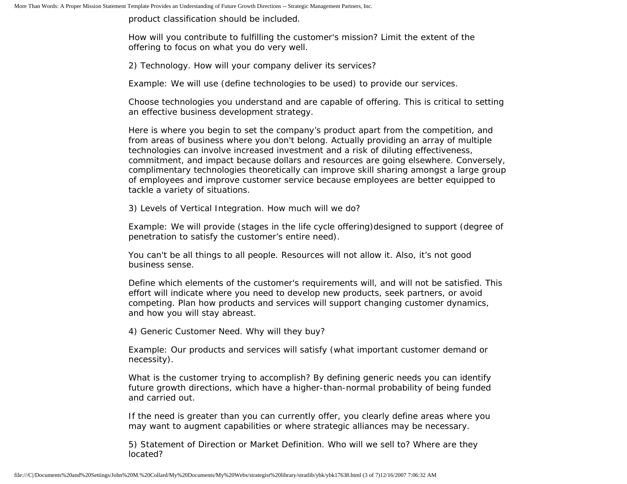product classification should be included.

How will you contribute to fulfilling the customer's mission? Limit the extent of the offering to focus on what you do very well.

2) Technology. How will your company deliver its services?

Example: We will use (define technologies to be used) to provide our services.

Choose technologies you understand and are capable of offering. This is critical to setting an effective business development strategy.

Here is where you begin to set the company's product apart from the competition, and from areas of business where you don't belong. Actually providing an array of multiple technologies can involve increased investment and a risk of diluting effectiveness, commitment, and impact because dollars and resources are going elsewhere. Conversely, complimentary technologies theoretically can improve skill sharing amongst a large group of employees and improve customer service because employees are better equipped to tackle a variety of situations.

3) Levels of Vertical Integration. How much will we do?

Example: We will provide (stages in the life cycle offering)designed to support (degree of penetration to satisfy the customer's entire need).

You can't be all things to all people. Resources will not allow it. Also, it's not good business sense.

Define which elements of the customer's requirements will, and will not be satisfied. This effort will indicate where you need to develop new products, seek partners, or avoid competing. Plan how products and services will support changing customer dynamics, and how you will stay abreast.

4) Generic Customer Need. Why will they buy?

Example: Our products and services will satisfy (what important customer demand or necessity).

What is the customer trying to accomplish? By defining generic needs you can identify future growth directions, which have a higher-than-normal probability of being funded and carried out.

If the need is greater than you can currently offer, you clearly define areas where you may want to augment capabilities or where strategic alliances may be necessary.

5) Statement of Direction or Market Definition. Who will we sell to? Where are they located?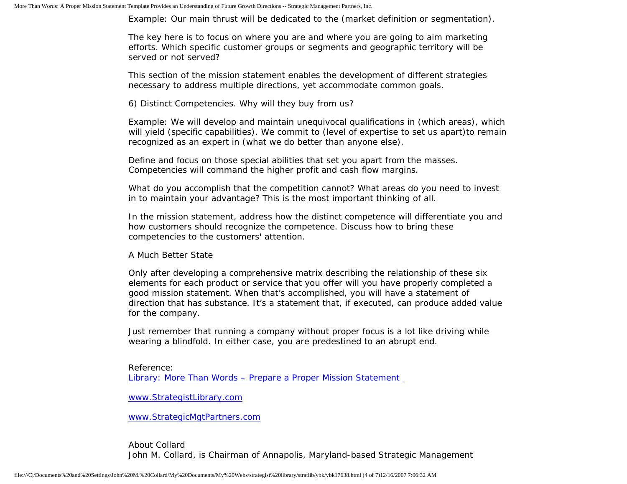Example: Our main thrust will be dedicated to the (market definition or segmentation).

The key here is to focus on where you are and where you are going to aim marketing efforts. Which specific customer groups or segments and geographic territory will be served or not served?

This section of the mission statement enables the development of different strategies necessary to address multiple directions, yet accommodate common goals.

6) Distinct Competencies. Why will they buy from us?

Example: We will develop and maintain unequivocal qualifications in (which areas), which will yield (specific capabilities). We commit to (level of expertise to set us apart)to remain recognized as an expert in (what we do better than anyone else).

Define and focus on those special abilities that set you apart from the masses. Competencies will command the higher profit and cash flow margins.

What do you accomplish that the competition cannot? What areas do you need to invest in to maintain your advantage? This is the most important thinking of all.

In the mission statement, address how the distinct competence will differentiate you and how customers should recognize the competence. Discuss how to bring these competencies to the customers' attention.

A Much Better State

Only after developing a comprehensive matrix describing the relationship of these six elements for each product or service that you offer will you have properly completed a good mission statement. When that's accomplished, you will have a statement of direction that has substance. It's a statement that, if executed, can produce added value for the company.

Just remember that running a company without proper focus is a lot like driving while wearing a blindfold. In either case, you are predestined to an abrupt end.

Reference: [Library: More Than Words – Prepare a Proper Mission Statement](http://members.aol.com/stratlib3/fmawords.html) 

[www.StrategistLibrary.com](http://www.strategistlibrary.com/)

[www.StrategicMgtPartners.com](http://www.strategicmgtpartners.com/)

About Collard John M. Collard, is Chairman of Annapolis, Maryland-based Strategic Management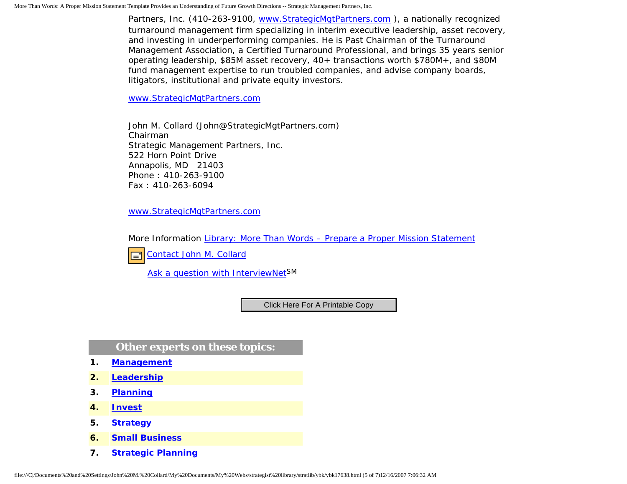Partners, Inc. (410-263-9100, [www.StrategicMgtPartners.com](http://www.strategicmgtpartners.com/) ), a nationally recognized turnaround management firm specializing in interim executive leadership, asset recovery, and investing in underperforming companies. He is Past Chairman of the Turnaround Management Association, a Certified Turnaround Professional, and brings 35 years senior operating leadership, \$85M asset recovery, 40+ transactions worth \$780M+, and \$80M fund management expertise to run troubled companies, and advise company boards, litigators, institutional and private equity investors.

[www.StrategicMgtPartners.com](http://www.strategicmgtpartners.com/)

John M. Collard (John@StrategicMgtPartners.com) Chairman Strategic Management Partners, Inc. 522 Horn Point Drive Annapolis, MD 21403 Phone : 410-263-9100 Fax : 410-263-6094

[www.StrategicMgtPartners.com](http://www.strategicmgtpartners.com/)

More Information [Library: More Than Words – Prepare a Proper Mission Statement](http://members.aol.com/stratlib3/fmawords.html)



[Ask a question with InterviewNetS](http://www.expertclick.com/expertClick/contact/default.cfm?GroupID=1016)M

## **Other experts on these topics:**

- **1. [Management](http://www.expertclick.com/search/default.cfm?SearchCriteria=Management)**
- **2. [Leadership](http://www.expertclick.com/search/default.cfm?SearchCriteria=Leadership)**
- **3. [Planning](http://www.expertclick.com/search/default.cfm?SearchCriteria=Planning)**
- **4. [Invest](http://www.expertclick.com/search/default.cfm?SearchCriteria=Invest)**
- **5. [Strategy](http://www.expertclick.com/search/default.cfm?SearchCriteria=Strategy)**
- **6. [Small Business](http://www.expertclick.com/search/default.cfm?SearchCriteria=Small Business)**
- **7. [Strategic Planning](http://www.expertclick.com/search/default.cfm?SearchCriteria=Strategic Planning)**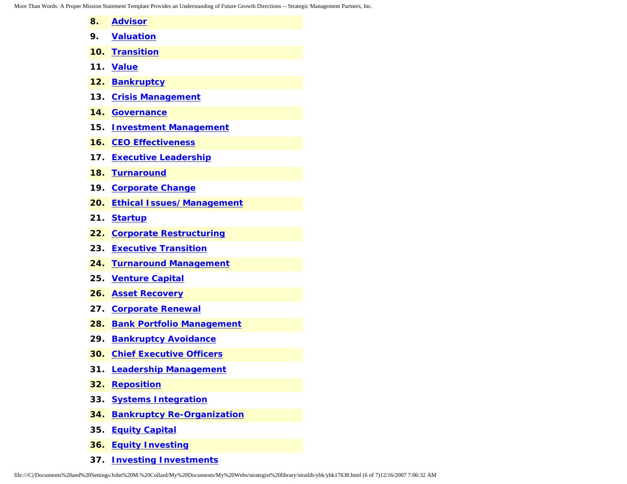More Than Words: A Proper Mission Statement Template Provides an Understanding of Future Growth Directions -- Strategic Management Partners, Inc.

| 8.  | <b>Advisor</b>                    |
|-----|-----------------------------------|
| 9.  | <b>Valuation</b>                  |
|     | 10. Transition                    |
| 11. | <b>Value</b>                      |
| 12. | Bankruptcy                        |
| 13. | <b>Crisis Management</b>          |
| 14. | <b>Governance</b>                 |
|     | 15. Investment Management         |
| 16. | <b>CEO Effectiveness</b>          |
|     | 17. Executive Leadership          |
| 18. | <b>Turnaround</b>                 |
| 19. | <b>Corporate Change</b>           |
| 20. | <b>Ethical Issues/Management</b>  |
| 21. | <b>Startup</b>                    |
|     | 22. Corporate Restructuring       |
| 23. | <b>Executive Transition</b>       |
| 24. | <b>Turnaround Management</b>      |
| 25. | <b>Venture Capital</b>            |
| 26. | <b>Asset Recovery</b>             |
| 27. | <b>Corporate Renewal</b>          |
| 28. | <b>Bank Portfolio Management</b>  |
|     | 29. Bankruptcy Avoidance          |
| 30. | <b>Chief Executive Officers</b>   |
| 31. | <b>Leadership Management</b>      |
| 32. | <b>Reposition</b>                 |
| 33. | <b>Systems Integration</b>        |
| 34. | <b>Bankruptcy Re-Organization</b> |
| 35. | <b>Equity Capital</b>             |
|     |                                   |

- **36. [Equity Investing](http://www.expertclick.com/search/default.cfm?SearchCriteria=Equity Investing)**
- **37. [Investing Investments](http://www.expertclick.com/search/default.cfm?SearchCriteria=Investing Investments)**

file:///C|/Documents%20and%20Settings/John%20M.%20Collard/My%20Documents/My%20Webs/strategist%20library/stratlib/ybk/ybk17638.html (6 of 7)12/16/2007 7:06:32 AM